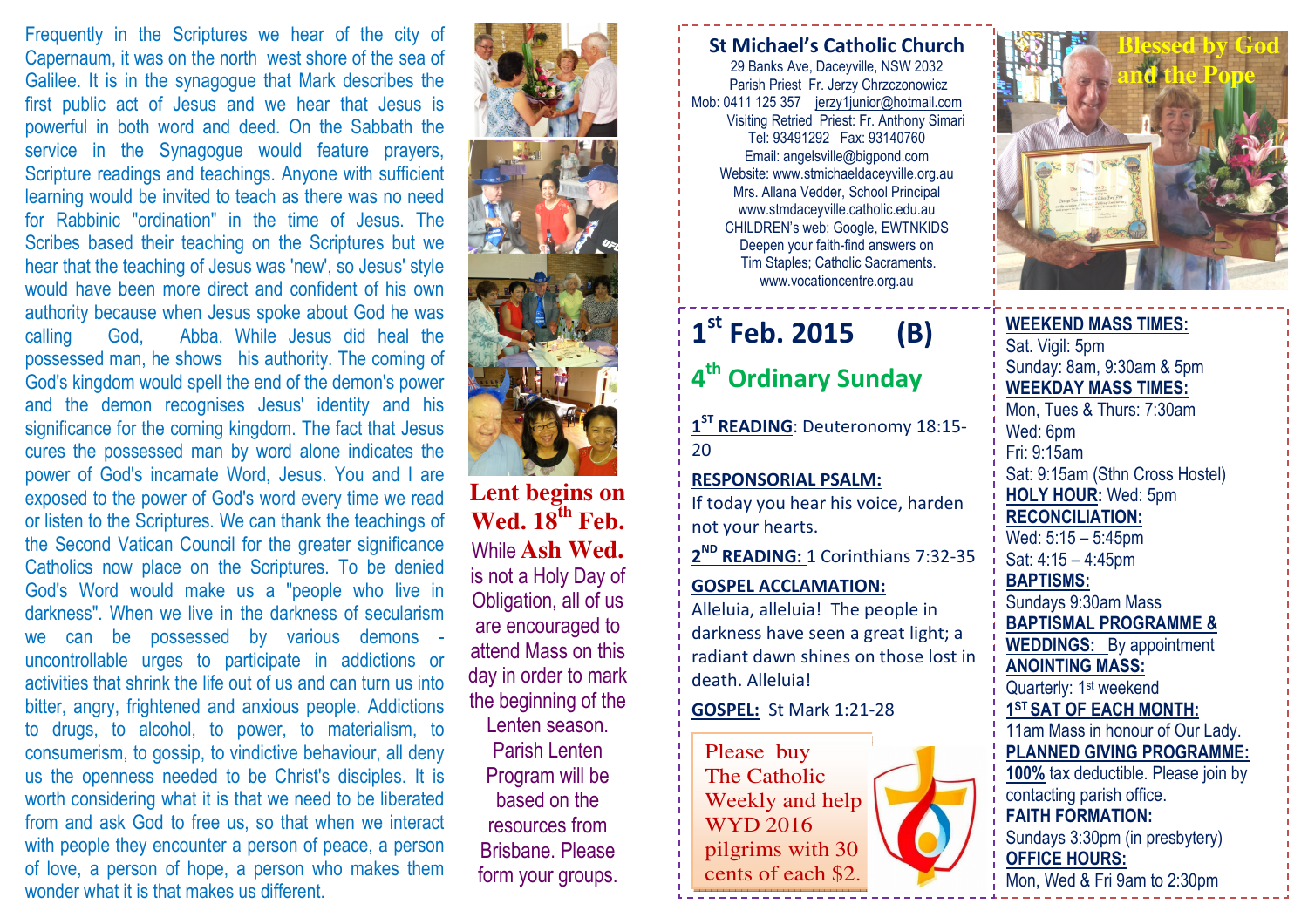Frequently in the Scriptures we hear of the city of Capernaum, it was on the north west shore of the sea of Galilee. It is in the synagogue that Mark describes the first public act of Jesus and we hear that Jesus is powerful in both word and deed. On the Sabbath the service in the Synagogue would feature prayers, Scripture readings and teachings. Anyone with sufficient learning would be invited to teach as there was no need for Rabbinic "ordination" in the time of Jesus. The Scribes based their teaching on the Scriptures but we hear that the teaching of Jesus was 'new', so Jesus' style would have been more direct and confident of his own authority because when Jesus spoke about God he was calling God, Abba. While Jesus did heal the possessed man, he shows his authority. The coming of God's kingdom would spell the end of the demon's power and the demon recognises Jesus' identity and his significance for the coming kingdom. The fact that Jesus cures the possessed man by word alone indicates the power of God's incarnate Word, Jesus. You and I are exposed to the power of God's word every time we read or listen to the Scriptures. We can thank the teachings of the Second Vatican Council for the greater significance Catholics now place on the Scriptures. To be denied God's Word would make us a "people who live in darkness". When we live in the darkness of secularism we can be possessed by various demons uncontrollable urges to participate in addictions or activities that shrink the life out of us and can turn us into bitter, angry, frightened and anxious people. Addictions to drugs, to alcohol, to power, to materialism, to consumerism, to gossip, to vindictive behaviour, all deny us the openness needed to be Christ's disciples. It is worth considering what it is that we need to be liberated from and ask God to free us, so that when we interact with people they encounter a person of peace, a person of love, a person of hope, a person who makes them wonder what it is that makes us different.





**Lent begins on Wed. 18th Feb.**While **Ash Wed.** is not a Holy Day of Obligation, all of us are encouraged to attend Mass on this day in order to mark the beginning of the Lenten season. Parish Lenten Program will be based on the resources from Brisbane. Please form your groups.

### St Michael's Catholic Church

29 Banks Ave, Daceyville, NSW 2032 Parish Priest Fr. Jerzy Chrzczonowicz Mob: 0411 125 357 jerzy1junior@hotmail.com Visiting Retried Priest: Fr. Anthony Simari Tel: 93491292 Fax: 93140760 Email: angelsville@bigpond.com Website: www.stmichaeldaceyville.org.au Mrs. Allana Vedder, School Principal www.stmdaceyville.catholic.edu.au CHILDREN's web: Google, EWTNKIDS Deepen your faith-find answers on Tim Staples; Catholic Sacraments. www.vocationcentre.org.au

### $1<sup>st</sup>$  Feb. 2015 (B)

# 4<sup>th</sup> Ordinary Sunday

1<sup>ST</sup> READING: Deuteronomy 18:15-20

#### RESPONSORIAL PSALM: If today you hear his voice, harden

not your hearts.

2<sup>ND</sup> READING: 1 Corinthians 7:32-35

## GOSPEL ACCLAMATION:Alleluia, alleluia! The people in darkness have seen a great light; a

radiant dawn shines on those lost in death. Alleluia!

#### GOSPEL: St Mark 1:21-28

Please buy The Catholic Weekly and help WYD 2016 pilgrims with 30 cents of each \$2.



WEEKEND MASS TIMES:Sat. Vigil: 5pm Sunday: 8am, 9:30am & 5pm WEEKDAY MASS TIMES: Mon, Tues & Thurs: 7:30am Wed: 6pm Fri: 9:15am Sat: 9:15am (Sthn Cross Hostel) HOLY HOUR: Wed: 5pm RECONCILIATION: Wed: 5:15 – 5:45pm Sat: 4:15 – 4:45pm BAPTISMS: Sundays 9:30am Mass BAPTISMAL PROGRAMME & **WEDDINGS:** By appointment ANOINTING MASS: Quarterly: 1<sup>st</sup> weekend 1ST SAT OF EACH MONTH: 11am Mass in honour of Our Lady. PLANNED GIVING PROGRAMME: 100% tax deductible. Please join by contacting parish office. FAITH FORMATION: Sundays 3:30pm (in presbytery) OFFICE HOURS: Mon, Wed & Fri 9am to 2:30pm